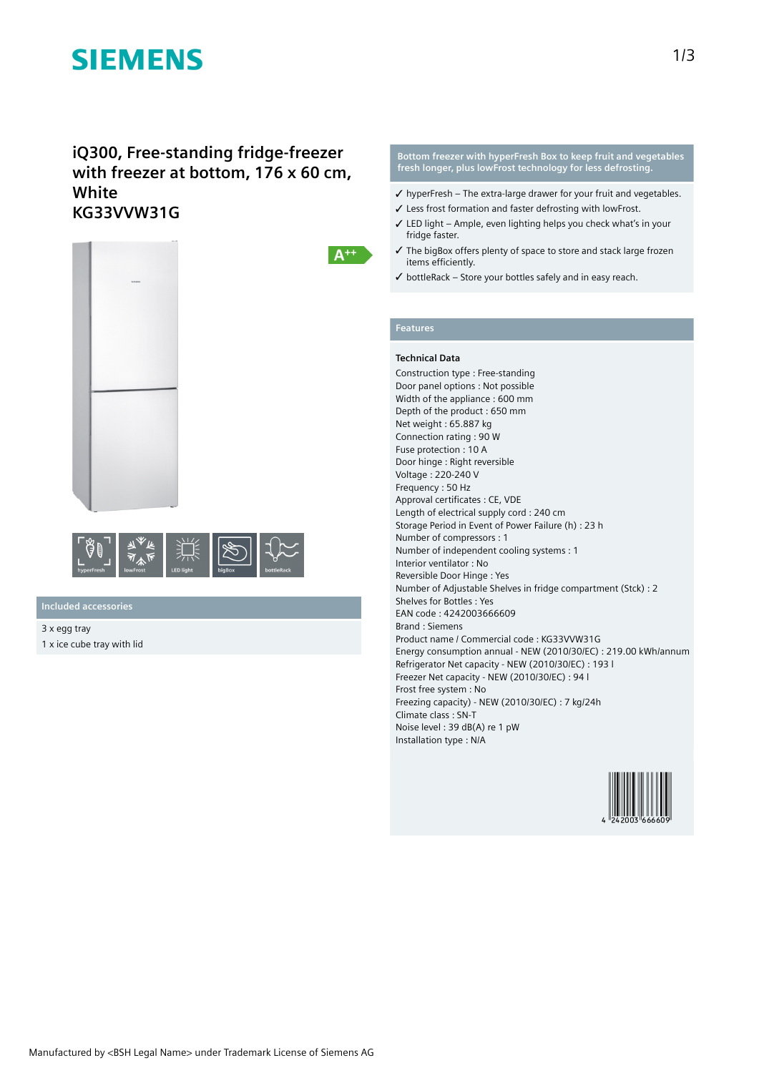# **SIEMENS**

### **iQ300, Free-standing fridge-freezer with freezer at bottom, 176 x 60 cm, White KG33VVW31G**





**Included accessories**

3 x egg tray 1 x ice cube tray with lid **Bottom freezer with hyperFresh Box to keep fruit and vegetables fresh longer, plus lowFrost technology for less defrosting.**

- $\checkmark$  hyperFresh The extra-large drawer for your fruit and vegetables.
- ✓ Less frost formation and faster defrosting with lowFrost.
- ✓ LED light Ample, even lighting helps you check what's in your fridge faster.
- ✓ The bigBox offers plenty of space to store and stack large frozen items efficiently.
- $\checkmark$  bottleRack Store your bottles safely and in easy reach.

### **Features**

 $A^{++}$ 

#### **Technical Data**

Construction type : Free-standing Door panel options : Not possible Width of the appliance : 600 mm Depth of the product : 650 mm Net weight : 65.887 kg Connection rating : 90 W Fuse protection : 10 A Door hinge : Right reversible Voltage : 220-240 V Frequency : 50 Hz Approval certificates : CE, VDE Length of electrical supply cord : 240 cm Storage Period in Event of Power Failure (h) : 23 h Number of compressors : 1 Number of independent cooling systems : 1 Interior ventilator : No Reversible Door Hinge : Yes Number of Adjustable Shelves in fridge compartment (Stck) : 2 Shelves for Bottles : Yes EAN code : 4242003666609 Brand : Siemens Product name / Commercial code : KG33VVW31G Energy consumption annual - NEW (2010/30/EC) : 219.00 kWh/annum Refrigerator Net capacity - NEW (2010/30/EC) : 193 l Freezer Net capacity - NEW (2010/30/EC) : 94 l Frost free system : No Freezing capacity) - NEW (2010/30/EC) : 7 kg/24h Climate class : SN-T Noise level : 39 dB(A) re 1 pW Installation type : N/A

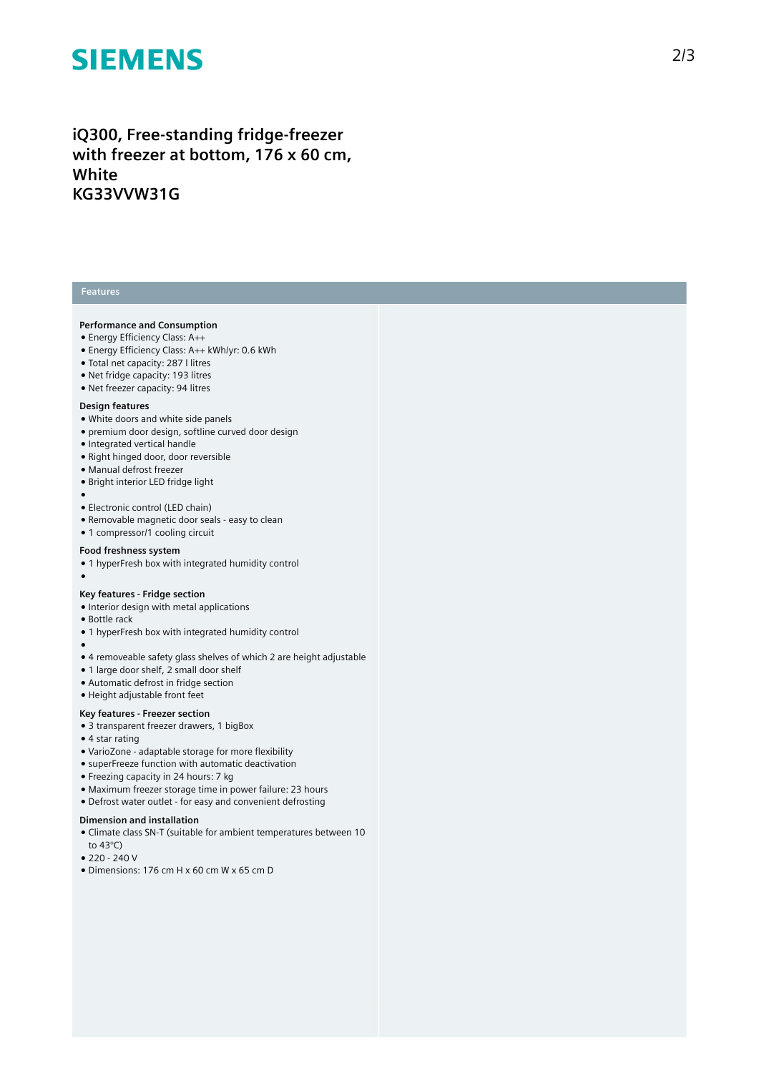# **SIEMENS**

### iQ300, Free-standing fridge-freezer with freezer at bottom, 176 x 60 cm, **W h i t e K G 3 3 VV W 3 1 G**

#### **Features**

#### Performance and Consumption

- Energy Efficiency Class: A++
- Energy Efficiency Class: A++ kWh/yr: 0.6 kWh
- Total net capacity: 287 I litres
- Net fridge capacity: 193 litres
- Net freezer capacity: 94 litres

#### Design features

- White doors and white side panels
- premium door design, softline curved door design
- Integrated vertical handle
- Right hinged door, door reversible
- Manual defrost freezer
- $\bullet$  Bright interior LED fridge light
- 

●

- ●<br>● Electronic control (LED chain)
- Removable magnetic door seals easy to clean
- 1 compressor/1 cooling circuit

#### Food freshness system

• 1 hyperFresh box with integrated humidity control

#### **Key features - Fridge section**

- Interior design with metal applications
- Bottle rack
- 1 hyperFresh box with integrated humidity control
- $\bullet$  4 removeable safety glass shelves of which 2 are height adjustable
- 1 large door shelf, 2 small door shelf
- Automatic defrost in fridge section
- Height adjustable front feet

#### Key features - Freezer section

- 3 transparent freezer drawers, 1 bigBox
- 4 star rating
- VarioZone adaptable storage for more flexibility
- superFreeze function with automatic deactivation
- Freezing capacity in 24 hours: 7 kg
- Maximum freezer storage time in power failure: 23 hours
- Defrost water outlet for easy and convenient defrosting

#### Dimension and installation

- Climate class SN-T (suitable for ambient temperatures between 10 to 43°C)
- 220 240 V
- $\bullet$  Dimensions: 176 cm H x 60 cm W x 65 cm D